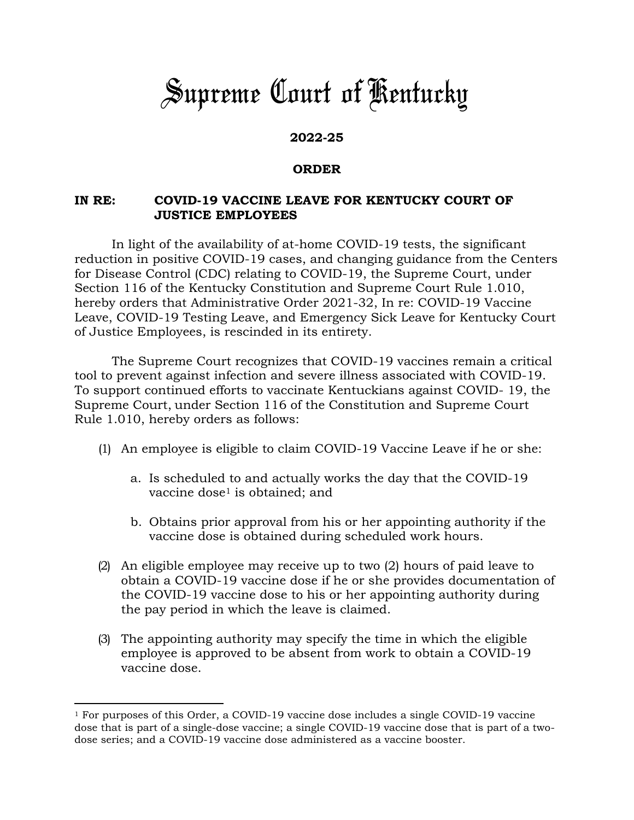## *Supreme Court of Kentucky*

## **2022-25**

## **ORDER**

## **IN RE: COVID-19 VACCINE LEAVE FOR KENTUCKY COURT OF JUSTICE EMPLOYEES**

In light of the availability of at-home COVID-19 tests, the significant reduction in positive COVID-19 cases, and changing guidance from the Centers for Disease Control (CDC) relating to COVID-19, the Supreme Court, under Section 116 of the Kentucky Constitution and Supreme Court Rule 1.010, hereby orders that Administrative Order 2021-32, In re: COVID-19 Vaccine Leave, COVID-19 Testing Leave, and Emergency Sick Leave for Kentucky Court of Justice Employees, is rescinded in its entirety.

The Supreme Court recognizes that COVID-19 vaccines remain a critical tool to prevent against infection and severe illness associated with COVID-19. To support continued efforts to vaccinate Kentuckians against COVID- 19, the Supreme Court, under Section 116 of the Constitution and Supreme Court Rule 1.010, hereby orders as follows:

- (1) An employee is eligible to claim COVID-19 Vaccine Leave if he or she:
	- a. Is scheduled to and actually works the day that the COVID-19 vaccine dose<sup>1</sup> is obtained; and
	- b. Obtains prior approval from his or her appointing authority if the vaccine dose is obtained during scheduled work hours.
- (2) An eligible employee may receive up to two (2) hours of paid leave to obtain a COVID-19 vaccine dose if he or she provides documentation of the COVID-19 vaccine dose to his or her appointing authority during the pay period in which the leave is claimed.
- (3) The appointing authority may specify the time in which the eligible employee is approved to be absent from work to obtain a COVID-19 vaccine dose.

<sup>1</sup> For purposes of this Order, a COVID-19 vaccine dose includes a single COVID-19 vaccine dose that is part of a single-dose vaccine; a single COVID-19 vaccine dose that is part of a twodose series; and a COVID-19 vaccine dose administered as a vaccine booster.